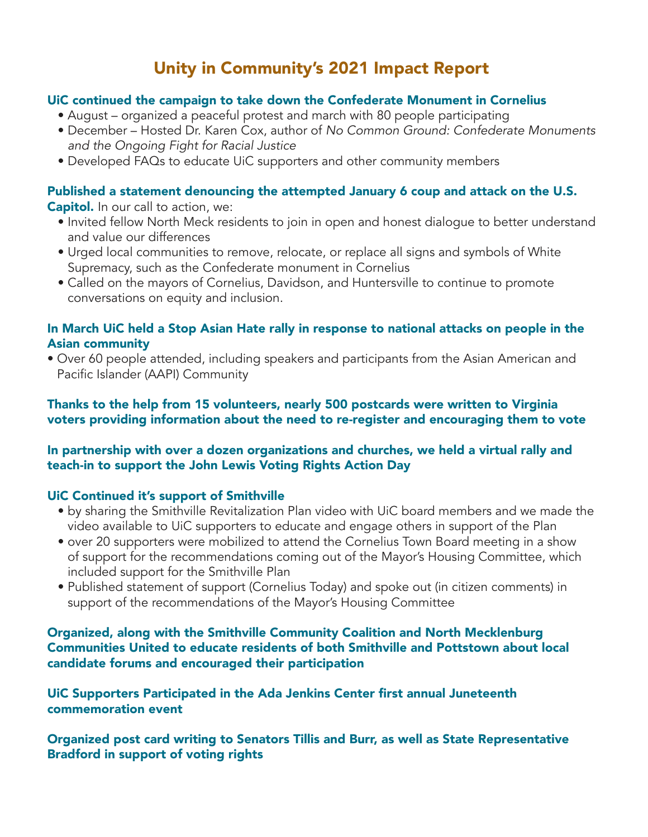# Unity in Community's 2021 Impact Report

#### UiC continued the campaign to take down the Confederate Monument in Cornelius

- August organized a peaceful protest and march with 80 people participating
- December Hosted Dr. Karen Cox, author of No Common Ground: Confederate Monuments and the Ongoing Fight for Racial Justice
- Developed FAQs to educate UiC supporters and other community members

## Published a statement denouncing the attempted January 6 coup and attack on the U.S.

Capitol. In our call to action, we:

- Invited fellow North Meck residents to join in open and honest dialogue to better understand and value our differences
- Urged local communities to remove, relocate, or replace all signs and symbols of White Supremacy, such as the Confederate monument in Cornelius
- Called on the mayors of Cornelius, Davidson, and Huntersville to continue to promote conversations on equity and inclusion.

#### In March UiC held a Stop Asian Hate rally in response to national attacks on people in the Asian community

• Over 60 people attended, including speakers and participants from the Asian American and Pacific Islander (AAPI) Community

#### Thanks to the help from 15 volunteers, nearly 500 postcards were written to Virginia voters providing information about the need to re-register and encouraging them to vote

### In partnership with over a dozen organizations and churches, we held a virtual rally and teach-in to support the John Lewis Voting Rights Action Day

#### UiC Continued it's support of Smithville

- by sharing the Smithville Revitalization Plan video with UiC board members and we made the video available to UiC supporters to educate and engage others in support of the Plan
- over 20 supporters were mobilized to attend the Cornelius Town Board meeting in a show of support for the recommendations coming out of the Mayor's Housing Committee, which included support for the Smithville Plan
- Published statement of support (Cornelius Today) and spoke out (in citizen comments) in support of the recommendations of the Mayor's Housing Committee

#### Organized, along with the Smithville Community Coalition and North Mecklenburg Communities United to educate residents of both Smithville and Pottstown about local candidate forums and encouraged their participation

UiC Supporters Participated in the Ada Jenkins Center first annual Juneteenth commemoration event

Organized post card writing to Senators Tillis and Burr, as well as State Representative Bradford in support of voting rights